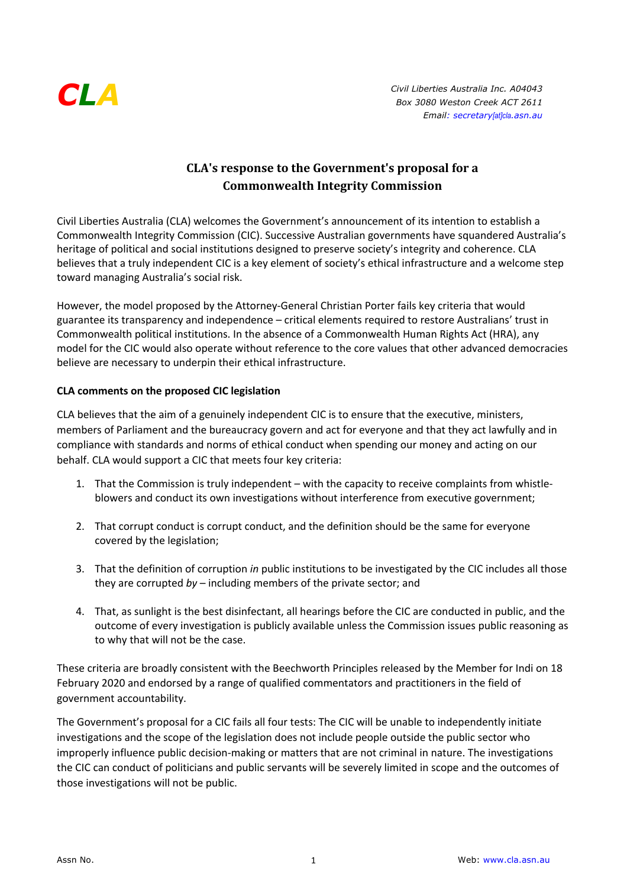

## **CLA's response to the Government's proposal for a Commonwealth Integrity Commission**

Civil Liberties Australia (CLA) welcomes the Government's announcement of its intention to establish a Commonwealth Integrity Commission (CIC). Successive Australian governments have squandered Australia's heritage of political and social institutions designed to preserve society's integrity and coherence. CLA believes that a truly independent CIC is a key element of society's ethical infrastructure and a welcome step toward managing Australia's social risk.

However, the model proposed by the Attorney-General Christian Porter fails key criteria that would guarantee its transparency and independence – critical elements required to restore Australians' trust in Commonwealth political institutions. In the absence of a Commonwealth Human Rights Act (HRA), any model for the CIC would also operate without reference to the core values that other advanced democracies believe are necessary to underpin their ethical infrastructure.

## **CLA comments on the proposed CIC legislation**

CLA believes that the aim of a genuinely independent CIC is to ensure that the executive, ministers, members of Parliament and the bureaucracy govern and act for everyone and that they act lawfully and in compliance with standards and norms of ethical conduct when spending our money and acting on our behalf. CLA would support a CIC that meets four key criteria:

- 1. That the Commission is truly independent with the capacity to receive complaints from whistleblowers and conduct its own investigations without interference from executive government;
- 2. That corrupt conduct is corrupt conduct, and the definition should be the same for everyone covered by the legislation;
- 3. That the definition of corruption *in* public institutions to be investigated by the CIC includes all those they are corrupted *by* – including members of the private sector; and
- 4. That, as sunlight is the best disinfectant, all hearings before the CIC are conducted in public, and the outcome of every investigation is publicly available unless the Commission issues public reasoning as to why that will not be the case.

These criteria are broadly consistent with the Beechworth Principles released by the Member for Indi on 18 February 2020 and endorsed by a range of qualified commentators and practitioners in the field of government accountability.

The Government's proposal for a CIC fails all four tests: The CIC will be unable to independently initiate investigations and the scope of the legislation does not include people outside the public sector who improperly influence public decision-making or matters that are not criminal in nature. The investigations the CIC can conduct of politicians and public servants will be severely limited in scope and the outcomes of those investigations will not be public.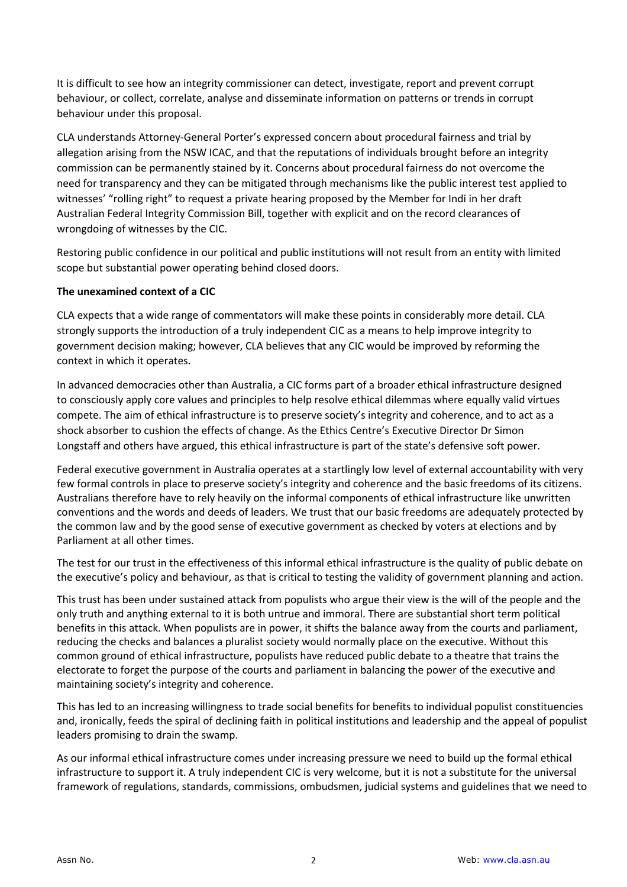It is difficult to see how an integrity commissioner can detect, investigate, report and prevent corrupt behaviour, or collect, correlate, analyse and disseminate information on patterns or trends in corrupt behaviour under this proposal.

CLA understands Attorney-General Porter's expressed concern about procedural fairness and trial by allegation arising from the NSW ICAC, and that the reputations of individuals brought before an integrity commission can be permanently stained by it. Concerns about procedural fairness do not overcome the need for transparency and they can be mitigated through mechanisms like the public interest test applied to witnesses' "rolling right" to request a private hearing proposed by the Member for Indi in her draft Australian Federal Integrity Commission Bill, together with explicit and on the record clearances of wrongdoing of witnesses by the CIC.

Restoring public confidence in our political and public institutions will not result from an entity with limited scope but substantial power operating behind closed doors.

## **The unexamined context of a CIC**

CLA expects that a wide range of commentators will make these points in considerably more detail. CLA strongly supports the introduction of a truly independent CIC as a means to help improve integrity to government decision making; however, CLA believes that any CIC would be improved by reforming the context in which it operates.

In advanced democracies other than Australia, a CIC forms part of a broader ethical infrastructure designed to consciously apply core values and principles to help resolve ethical dilemmas where equally valid virtues compete. The aim of ethical infrastructure is to preserve society's integrity and coherence, and to act as a shock absorber to cushion the effects of change. As the Ethics Centre's Executive Director Dr Simon Longstaff and others have argued, this ethical infrastructure is part of the state's defensive soft power.

Federal executive government in Australia operates at a startlingly low level of external accountability with very few formal controls in place to preserve society's integrity and coherence and the basic freedoms of its citizens. Australians therefore have to rely heavily on the informal components of ethical infrastructure like unwritten conventions and the words and deeds of leaders. We trust that our basic freedoms are adequately protected by the common law and by the good sense of executive government as checked by voters at elections and by Parliament at all other times.

The test for our trust in the effectiveness of this informal ethical infrastructure is the quality of public debate on the executive's policy and behaviour, as that is critical to testing the validity of government planning and action.

This trust has been under sustained attack from populists who argue their view is the will of the people and the only truth and anything external to it is both untrue and immoral. There are substantial short term political benefits in this attack. When populists are in power, it shifts the balance away from the courts and parliament, reducing the checks and balances a pluralist society would normally place on the executive. Without this common ground of ethical infrastructure, populists have reduced public debate to a theatre that trains the electorate to forget the purpose of the courts and parliament in balancing the power of the executive and maintaining society's integrity and coherence.

This has led to an increasing willingness to trade social benefits for benefits to individual populist constituencies and, ironically, feeds the spiral of declining faith in political institutions and leadership and the appeal of populist leaders promising to drain the swamp.

As our informal ethical infrastructure comes under increasing pressure we need to build up the formal ethical infrastructure to support it. A truly independent CIC is very welcome, but it is not a substitute for the universal framework of regulations, standards, commissions, ombudsmen, judicial systems and guidelines that we need to